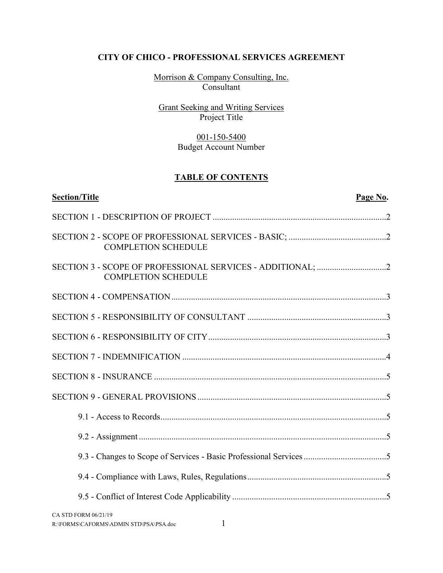Morrison & Company Consulting, Inc. Consultant

Grant Seeking and Writing Services Project Title

# 001-150-5400 Budget Account Number

# **TABLE OF CONTENTS**

| <b>Section/Title</b>                                                | Page No. |
|---------------------------------------------------------------------|----------|
|                                                                     |          |
| <b>COMPLETION SCHEDULE</b>                                          |          |
| <b>COMPLETION SCHEDULE</b>                                          |          |
|                                                                     |          |
|                                                                     |          |
|                                                                     |          |
|                                                                     |          |
|                                                                     |          |
|                                                                     |          |
|                                                                     |          |
|                                                                     |          |
| 9.3 - Changes to Scope of Services - Basic Professional Services 5  |          |
|                                                                     |          |
|                                                                     |          |
| CA STD FORM 06/21/19<br>1<br>R:\FORMS\CAFORMS\ADMIN STD\PSA\PSA.doc |          |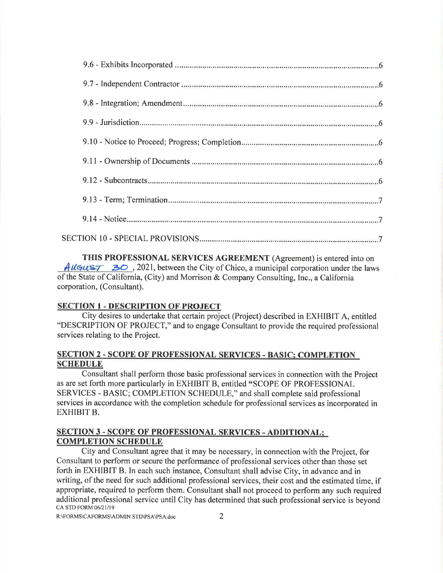THIS PROFESSIONAL SERVICES AGREEMENT (Agreement) is entered into on  $\hat{A}$ ll $\hat{G}$ us $\hat{T}$  30, 2021, between the City of Chico, a municipal corporation under the laws of the State of California, (City) and Morrison & Company Consulting, Inc., a California corporation, (Consultant).

#### **SECTION 1 - DESCRIPTION OF PROJECT**

City desires to undertake that certain project (Project) described in EXHIBIT A, entitled "DESCRIPTION OF PROJECT," and to engage Consultant to provide the required professional services relating to the Project.

#### **SECTION 2 - SCOPE OF PROFESSIONAL SERVICES - BASIC; COMPLETION SCHEDULE**

Consultant shall perform those basic professional services in connection with the Project as are set forth more particularly in EXHIBIT B, entitled "SCOPE OF PROFESSIONAL SERVICES - BASIC; COMPLETION SCHEDULE," and shall complete said professional services in accordance with the completion schedule for professional services as incorporated in **EXHIBIT B.** 

#### **SECTION 3 - SCOPE OF PROFESSIONAL SERVICES - ADDITIONAL: COMPLETION SCHEDULE**

City and Consultant agree that it may be necessary, in connection with the Project, for Consultant to perform or secure the performance of professional services other than those set forth in EXHIBIT B. In each such instance, Consultant shall advise City, in advance and in writing, of the need for such additional professional services, their cost and the estimated time, if appropriate, required to perform them. Consultant shall not proceed to perform any such required additional professional service until City has determined that such professional service is beyond CA STD FORM 06/21/19

R:\FORMS\CAFORMS\ADMIN STD\PSA\PSA.doc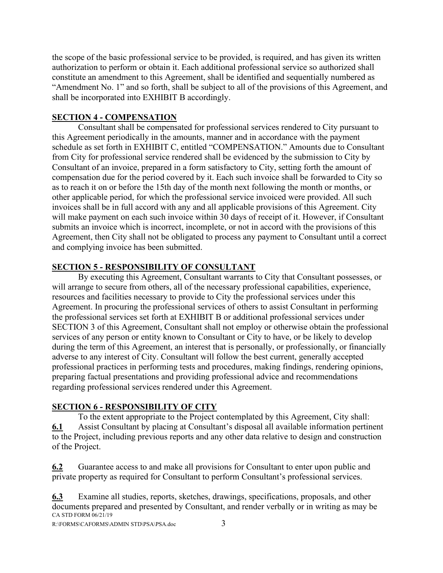the scope of the basic professional service to be provided, is required, and has given its written authorization to perform or obtain it. Each additional professional service so authorized shall constitute an amendment to this Agreement, shall be identified and sequentially numbered as "Amendment No. 1" and so forth, shall be subject to all of the provisions of this Agreement, and shall be incorporated into EXHIBIT B accordingly.

#### **SECTION 4 - COMPENSATION**

Consultant shall be compensated for professional services rendered to City pursuant to this Agreement periodically in the amounts, manner and in accordance with the payment schedule as set forth in EXHIBIT C, entitled "COMPENSATION." Amounts due to Consultant from City for professional service rendered shall be evidenced by the submission to City by Consultant of an invoice, prepared in a form satisfactory to City, setting forth the amount of compensation due for the period covered by it. Each such invoice shall be forwarded to City so as to reach it on or before the 15th day of the month next following the month or months, or other applicable period, for which the professional service invoiced were provided. All such invoices shall be in full accord with any and all applicable provisions of this Agreement. City will make payment on each such invoice within 30 days of receipt of it. However, if Consultant submits an invoice which is incorrect, incomplete, or not in accord with the provisions of this Agreement, then City shall not be obligated to process any payment to Consultant until a correct and complying invoice has been submitted.

### **SECTION 5 - RESPONSIBILITY OF CONSULTANT**

By executing this Agreement, Consultant warrants to City that Consultant possesses, or will arrange to secure from others, all of the necessary professional capabilities, experience, resources and facilities necessary to provide to City the professional services under this Agreement. In procuring the professional services of others to assist Consultant in performing the professional services set forth at EXHIBIT B or additional professional services under SECTION 3 of this Agreement, Consultant shall not employ or otherwise obtain the professional services of any person or entity known to Consultant or City to have, or be likely to develop during the term of this Agreement, an interest that is personally, or professionally, or financially adverse to any interest of City. Consultant will follow the best current, generally accepted professional practices in performing tests and procedures, making findings, rendering opinions, preparing factual presentations and providing professional advice and recommendations regarding professional services rendered under this Agreement.

# **SECTION 6 - RESPONSIBILITY OF CITY**

To the extent appropriate to the Project contemplated by this Agreement, City shall: **6.1** Assist Consultant by placing at Consultant's disposal all available information pertinent to the Project, including previous reports and any other data relative to design and construction of the Project.

**6.2** Guarantee access to and make all provisions for Consultant to enter upon public and private property as required for Consultant to perform Consultant's professional services.

CA STD FORM 06/21/19 **6.3** Examine all studies, reports, sketches, drawings, specifications, proposals, and other documents prepared and presented by Consultant, and render verbally or in writing as may be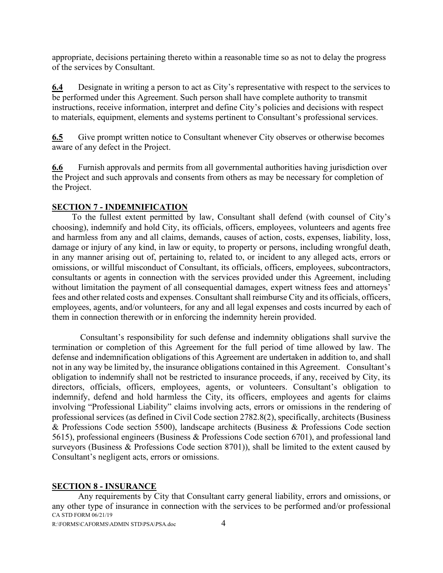appropriate, decisions pertaining thereto within a reasonable time so as not to delay the progress of the services by Consultant.

**6.4** Designate in writing a person to act as City's representative with respect to the services to be performed under this Agreement. Such person shall have complete authority to transmit instructions, receive information, interpret and define City's policies and decisions with respect to materials, equipment, elements and systems pertinent to Consultant's professional services.

**6.5** Give prompt written notice to Consultant whenever City observes or otherwise becomes aware of any defect in the Project.

**6.6** Furnish approvals and permits from all governmental authorities having jurisdiction over the Project and such approvals and consents from others as may be necessary for completion of the Project.

### **SECTION 7 - INDEMNIFICATION**

To the fullest extent permitted by law, Consultant shall defend (with counsel of City's choosing), indemnify and hold City, its officials, officers, employees, volunteers and agents free and harmless from any and all claims, demands, causes of action, costs, expenses, liability, loss, damage or injury of any kind, in law or equity, to property or persons, including wrongful death, in any manner arising out of, pertaining to, related to, or incident to any alleged acts, errors or omissions, or willful misconduct of Consultant, its officials, officers, employees, subcontractors, consultants or agents in connection with the services provided under this Agreement, including without limitation the payment of all consequential damages, expert witness fees and attorneys' fees and other related costs and expenses. Consultant shall reimburse City and its officials, officers, employees, agents, and/or volunteers, for any and all legal expenses and costs incurred by each of them in connection therewith or in enforcing the indemnity herein provided.

Consultant's responsibility for such defense and indemnity obligations shall survive the termination or completion of this Agreement for the full period of time allowed by law. The defense and indemnification obligations of this Agreement are undertaken in addition to, and shall not in any way be limited by, the insurance obligations contained in this Agreement. Consultant's obligation to indemnify shall not be restricted to insurance proceeds, if any, received by City, its directors, officials, officers, employees, agents, or volunteers. Consultant's obligation to indemnify, defend and hold harmless the City, its officers, employees and agents for claims involving "Professional Liability" claims involving acts, errors or omissions in the rendering of professional services (as defined in Civil Code section 2782.8(2), specifically, architects (Business & Professions Code section 5500), landscape architects (Business & Professions Code section 5615), professional engineers (Business & Professions Code section 6701), and professional land surveyors (Business & Professions Code section 8701)), shall be limited to the extent caused by Consultant's negligent acts, errors or omissions.

# **SECTION 8 - INSURANCE**

CA STD FORM 06/21/19 Any requirements by City that Consultant carry general liability, errors and omissions, or any other type of insurance in connection with the services to be performed and/or professional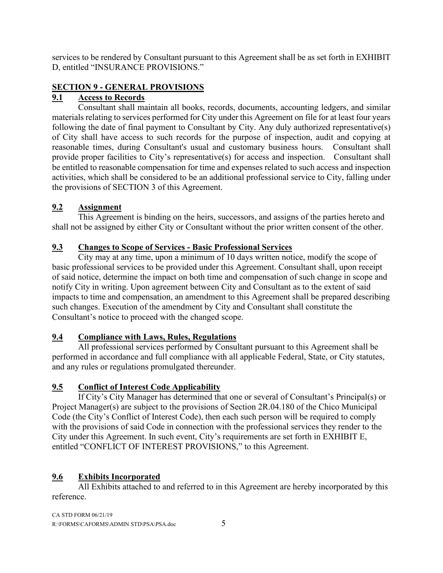services to be rendered by Consultant pursuant to this Agreement shall be as set forth in EXHIBIT D, entitled "INSURANCE PROVISIONS."

# **SECTION 9 - GENERAL PROVISIONS**

# **9.1 Access to Records**

Consultant shall maintain all books, records, documents, accounting ledgers, and similar materials relating to services performed for City under this Agreement on file for at least four years following the date of final payment to Consultant by City. Any duly authorized representative(s) of City shall have access to such records for the purpose of inspection, audit and copying at reasonable times, during Consultant's usual and customary business hours. Consultant shall provide proper facilities to City's representative(s) for access and inspection. Consultant shall be entitled to reasonable compensation for time and expenses related to such access and inspection activities, which shall be considered to be an additional professional service to City, falling under the provisions of SECTION 3 of this Agreement.

# **9.2 Assignment**

This Agreement is binding on the heirs, successors, and assigns of the parties hereto and shall not be assigned by either City or Consultant without the prior written consent of the other.

# **9.3 Changes to Scope of Services - Basic Professional Services**

City may at any time, upon a minimum of 10 days written notice, modify the scope of basic professional services to be provided under this Agreement. Consultant shall, upon receipt of said notice, determine the impact on both time and compensation of such change in scope and notify City in writing. Upon agreement between City and Consultant as to the extent of said impacts to time and compensation, an amendment to this Agreement shall be prepared describing such changes. Execution of the amendment by City and Consultant shall constitute the Consultant's notice to proceed with the changed scope.

# **9.4 Compliance with Laws, Rules, Regulations**

All professional services performed by Consultant pursuant to this Agreement shall be performed in accordance and full compliance with all applicable Federal, State, or City statutes, and any rules or regulations promulgated thereunder.

# **9.5 Conflict of Interest Code Applicability**

If City's City Manager has determined that one or several of Consultant's Principal(s) or Project Manager(s) are subject to the provisions of Section 2R.04.180 of the Chico Municipal Code (the City's Conflict of Interest Code), then each such person will be required to comply with the provisions of said Code in connection with the professional services they render to the City under this Agreement. In such event, City's requirements are set forth in EXHIBIT E, entitled "CONFLICT OF INTEREST PROVISIONS," to this Agreement.

# **9.6 Exhibits Incorporated**

All Exhibits attached to and referred to in this Agreement are hereby incorporated by this reference.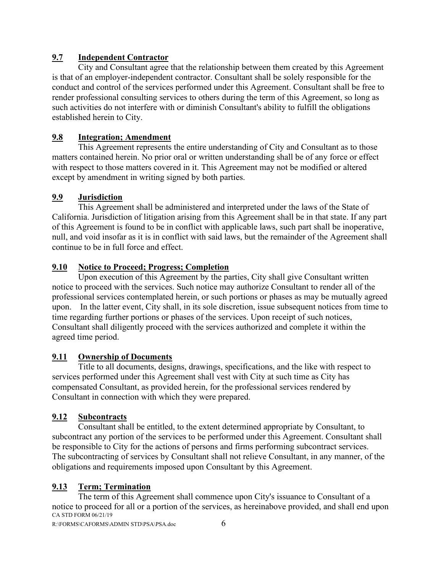# **9.7 Independent Contractor**

City and Consultant agree that the relationship between them created by this Agreement is that of an employer-independent contractor. Consultant shall be solely responsible for the conduct and control of the services performed under this Agreement. Consultant shall be free to render professional consulting services to others during the term of this Agreement, so long as such activities do not interfere with or diminish Consultant's ability to fulfill the obligations established herein to City.

# **9.8 Integration; Amendment**

This Agreement represents the entire understanding of City and Consultant as to those matters contained herein. No prior oral or written understanding shall be of any force or effect with respect to those matters covered in it. This Agreement may not be modified or altered except by amendment in writing signed by both parties.

# **9.9 Jurisdiction**

This Agreement shall be administered and interpreted under the laws of the State of California. Jurisdiction of litigation arising from this Agreement shall be in that state. If any part of this Agreement is found to be in conflict with applicable laws, such part shall be inoperative, null, and void insofar as it is in conflict with said laws, but the remainder of the Agreement shall continue to be in full force and effect.

# **9.10 Notice to Proceed; Progress; Completion**

Upon execution of this Agreement by the parties, City shall give Consultant written notice to proceed with the services. Such notice may authorize Consultant to render all of the professional services contemplated herein, or such portions or phases as may be mutually agreed upon. In the latter event, City shall, in its sole discretion, issue subsequent notices from time to time regarding further portions or phases of the services. Upon receipt of such notices, Consultant shall diligently proceed with the services authorized and complete it within the agreed time period.

# **9.11 Ownership of Documents**

Title to all documents, designs, drawings, specifications, and the like with respect to services performed under this Agreement shall vest with City at such time as City has compensated Consultant, as provided herein, for the professional services rendered by Consultant in connection with which they were prepared.

# **9.12 Subcontracts**

Consultant shall be entitled, to the extent determined appropriate by Consultant, to subcontract any portion of the services to be performed under this Agreement. Consultant shall be responsible to City for the actions of persons and firms performing subcontract services. The subcontracting of services by Consultant shall not relieve Consultant, in any manner, of the obligations and requirements imposed upon Consultant by this Agreement.

# **9.13 Term; Termination**

CA STD FORM 06/21/19 The term of this Agreement shall commence upon City's issuance to Consultant of a notice to proceed for all or a portion of the services, as hereinabove provided, and shall end upon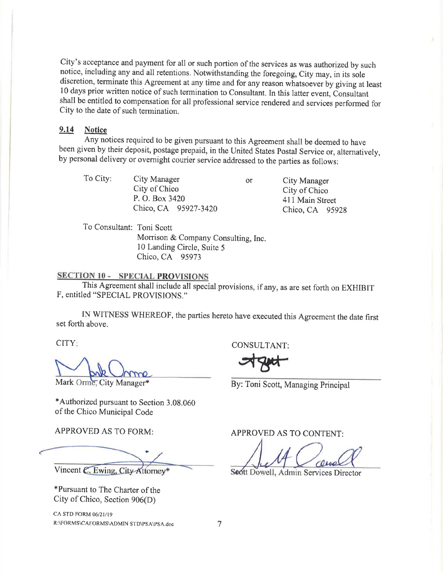City's acceptance and payment for all or such portion of the services as was authorized by such notice, including any and all retentions. Notwithstanding the foregoing, City may, in its sole discretion, terminate this Agreement at any time and for any reason whatsoever by giving at least 10 days prior written notice of such termination to Consultant. In this latter event, Consultant shall be entitled to compensation for all professional service rendered and services performed for City to the date of such termination.

#### $9.14$ **Notice**

Any notices required to be given pursuant to this Agreement shall be deemed to have been given by their deposit, postage prepaid, in the United States Postal Service or, alternatively, by personal delivery or overnight courier service addressed to the parties as follows:

To City: City Manager City of Chico P. O. Box 3420

**or** 

**City Manager** City of Chico 411 Main Street Chico, CA 95928

To Consultant: Toni Scott

Morrison & Company Consulting, Inc. 10 Landing Circle, Suite 5 Chico, CA 95973

Chico, CA 95927-3420

### **SECTION 10 - SPECIAL PROVISIONS**

This Agreement shall include all special provisions, if any, as are set forth on EXHIBIT F, entitled "SPECIAL PROVISIONS."

IN WITNESS WHEREOF, the parties hereto have executed this Agreement the date first set forth above.

CITY:

Mark Orme, City Manager\*

\*Authorized pursuant to Section 3.08.060 of the Chico Municipal Code

**APPROVED AS TO FORM:** 

Vincent C. Ewing, City-Attorney\*

\*Pursuant to The Charter of the City of Chico, Section  $906(D)$ 

CA STD FORM 06/21/19 R:\FORMS\CAFORMS\ADMIN STD\PSA\PSA.doc CONSULTANT:

By: Toni Scott, Managing Principal

APPROVED AS TO CONTENT:

Seott Dowell, Admin Services Director

7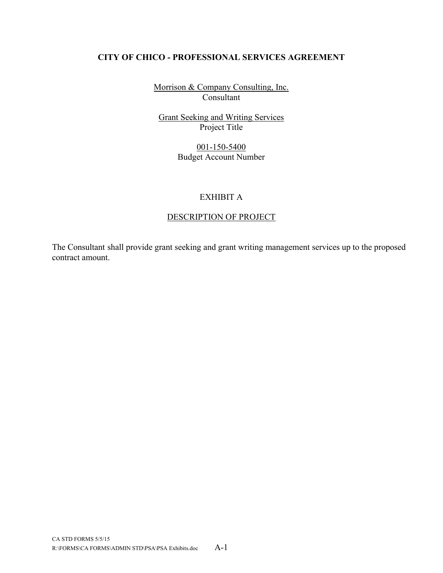Morrison & Company Consulting, Inc. Consultant

Grant Seeking and Writing Services Project Title

> 001-150-5400 Budget Account Number

# EXHIBIT A

### DESCRIPTION OF PROJECT

The Consultant shall provide grant seeking and grant writing management services up to the proposed contract amount.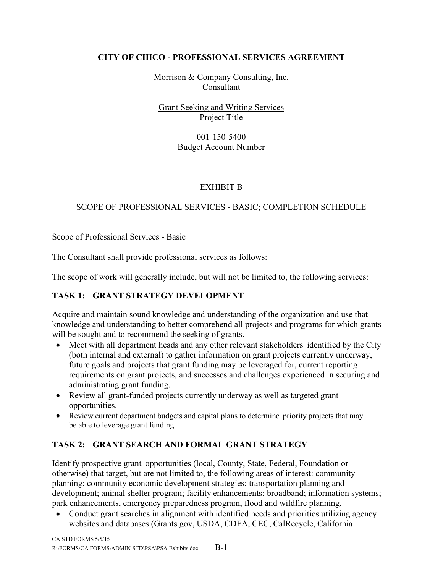Morrison & Company Consulting, Inc. Consultant

# Grant Seeking and Writing Services Project Title

#### 001-150-5400 Budget Account Number

# EXHIBIT B

# SCOPE OF PROFESSIONAL SERVICES - BASIC; COMPLETION SCHEDULE

Scope of Professional Services - Basic

The Consultant shall provide professional services as follows:

The scope of work will generally include, but will not be limited to, the following services:

# **TASK 1: GRANT STRATEGY DEVELOPMENT**

Acquire and maintain sound knowledge and understanding of the organization and use that knowledge and understanding to better comprehend all projects and programs for which grants will be sought and to recommend the seeking of grants.

- Meet with all department heads and any other relevant stakeholders identified by the City (both internal and external) to gather information on grant projects currently underway, future goals and projects that grant funding may be leveraged for, current reporting requirements on grant projects, and successes and challenges experienced in securing and administrating grant funding.
- Review all grant-funded projects currently underway as well as targeted grant opportunities.
- Review current department budgets and capital plans to determine priority projects that may be able to leverage grant funding.

# **TASK 2: GRANT SEARCH AND FORMAL GRANT STRATEGY**

Identify prospective grant opportunities (local, County, State, Federal, Foundation or otherwise) that target, but are not limited to, the following areas of interest: community planning; community economic development strategies; transportation planning and development; animal shelter program; facility enhancements; broadband; information systems; park enhancements, emergency preparedness program, flood and wildfire planning.

• Conduct grant searches in alignment with identified needs and priorities utilizing agency websites and databases (Grants.gov, USDA, CDFA, CEC, CalRecycle, California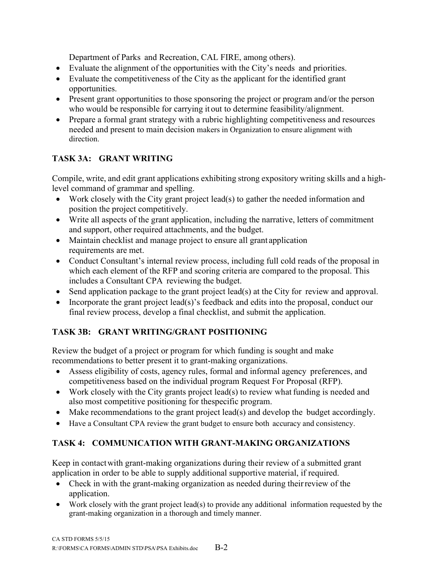Department of Parks and Recreation, CAL FIRE, among others).

- Evaluate the alignment of the opportunities with the City's needs and priorities.
- Evaluate the competitiveness of the City as the applicant for the identified grant opportunities.
- Present grant opportunities to those sponsoring the project or program and/or the person who would be responsible for carrying it out to determine feasibility/alignment.
- Prepare a formal grant strategy with a rubric highlighting competitiveness and resources needed and present to main decision makers in Organization to ensure alignment with direction.

# **TASK 3A: GRANT WRITING**

Compile, write, and edit grant applications exhibiting strong expository writing skills and a highlevel command of grammar and spelling.

- Work closely with the City grant project lead(s) to gather the needed information and position the project competitively.
- Write all aspects of the grant application, including the narrative, letters of commitment and support, other required attachments, and the budget.
- Maintain checklist and manage project to ensure all grant application requirements are met.
- Conduct Consultant's internal review process, including full cold reads of the proposal in which each element of the RFP and scoring criteria are compared to the proposal. This includes a Consultant CPA reviewing the budget.
- Send application package to the grant project lead(s) at the City for review and approval.
- Incorporate the grant project lead(s)'s feedback and edits into the proposal, conduct our final review process, develop a final checklist, and submit the application.

# **TASK 3B: GRANT WRITING/GRANT POSITIONING**

Review the budget of a project or program for which funding is sought and make recommendations to better present it to grant-making organizations.

- Assess eligibility of costs, agency rules, formal and informal agency preferences, and competitiveness based on the individual program Request For Proposal (RFP).
- Work closely with the City grants project lead(s) to review what funding is needed and also most competitive positioning for thespecific program.
- Make recommendations to the grant project lead(s) and develop the budget accordingly.
- Have a Consultant CPA review the grant budget to ensure both accuracy and consistency.

# **TASK 4: COMMUNICATION WITH GRANT-MAKING ORGANIZATIONS**

Keep in contact with grant-making organizations during their review of a submitted grant application in order to be able to supply additional supportive material, if required.

- Check in with the grant-making organization as needed during their review of the application.
- Work closely with the grant project lead(s) to provide any additional information requested by the grant-making organization in a thorough and timely manner.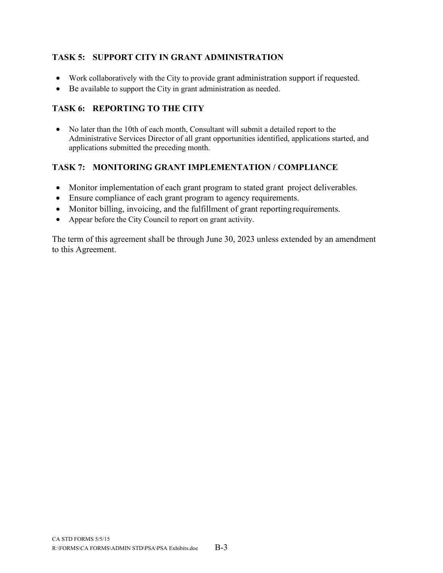# **TASK 5: SUPPORT CITY IN GRANT ADMINISTRATION**

- Work collaboratively with the City to provide grant administration support if requested.
- Be available to support the City in grant administration as needed.

# **TASK 6: REPORTING TO THE CITY**

• No later than the 10th of each month, Consultant will submit a detailed report to the Administrative Services Director of all grant opportunities identified, applications started, and applications submitted the preceding month.

# **TASK 7: MONITORING GRANT IMPLEMENTATION / COMPLIANCE**

- Monitor implementation of each grant program to stated grant project deliverables.
- Ensure compliance of each grant program to agency requirements.
- Monitor billing, invoicing, and the fulfillment of grant reporting requirements.
- Appear before the City Council to report on grant activity.

The term of this agreement shall be through June 30, 2023 unless extended by an amendment to this Agreement.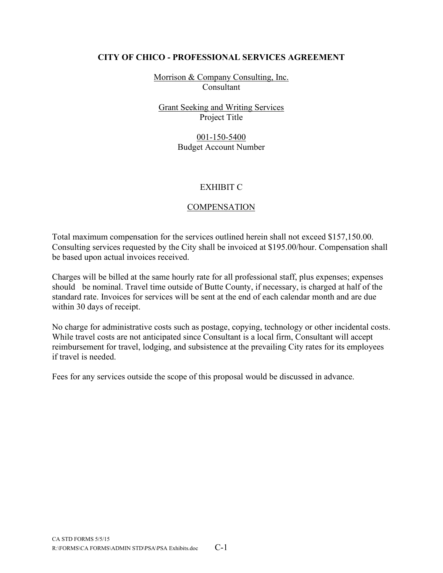Morrison & Company Consulting, Inc. Consultant

Grant Seeking and Writing Services Project Title

> 001-150-5400 Budget Account Number

#### EXHIBIT C

### **COMPENSATION**

Total maximum compensation for the services outlined herein shall not exceed \$157,150.00. Consulting services requested by the City shall be invoiced at \$195.00/hour. Compensation shall be based upon actual invoices received.

Charges will be billed at the same hourly rate for all professional staff, plus expenses; expenses should be nominal. Travel time outside of Butte County, if necessary, is charged at half of the standard rate. Invoices for services will be sent at the end of each calendar month and are due within 30 days of receipt.

No charge for administrative costs such as postage, copying, technology or other incidental costs. While travel costs are not anticipated since Consultant is a local firm, Consultant will accept reimbursement for travel, lodging, and subsistence at the prevailing City rates for its employees if travel is needed.

Fees for any services outside the scope of this proposal would be discussed in advance.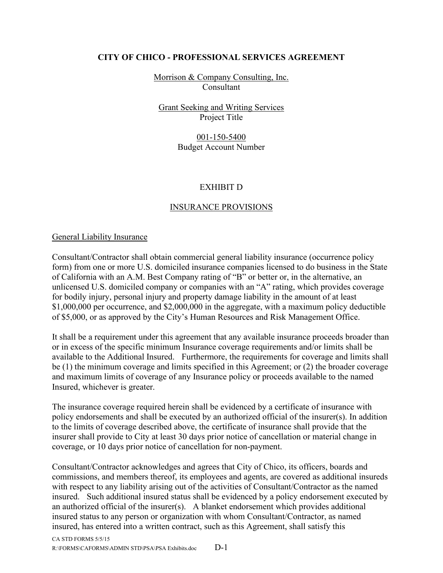Morrison & Company Consulting, Inc. Consultant

Grant Seeking and Writing Services Project Title

> 001-150-5400 Budget Account Number

### EXHIBIT D

# INSURANCE PROVISIONS

#### General Liability Insurance

Consultant/Contractor shall obtain commercial general liability insurance (occurrence policy form) from one or more U.S. domiciled insurance companies licensed to do business in the State of California with an A.M. Best Company rating of "B" or better or, in the alternative, an unlicensed U.S. domiciled company or companies with an "A" rating, which provides coverage for bodily injury, personal injury and property damage liability in the amount of at least \$1,000,000 per occurrence, and \$2,000,000 in the aggregate, with a maximum policy deductible of \$5,000, or as approved by the City's Human Resources and Risk Management Office.

It shall be a requirement under this agreement that any available insurance proceeds broader than or in excess of the specific minimum Insurance coverage requirements and/or limits shall be available to the Additional Insured. Furthermore, the requirements for coverage and limits shall be (1) the minimum coverage and limits specified in this Agreement; or (2) the broader coverage and maximum limits of coverage of any Insurance policy or proceeds available to the named Insured, whichever is greater.

The insurance coverage required herein shall be evidenced by a certificate of insurance with policy endorsements and shall be executed by an authorized official of the insurer(s). In addition to the limits of coverage described above, the certificate of insurance shall provide that the insurer shall provide to City at least 30 days prior notice of cancellation or material change in coverage, or 10 days prior notice of cancellation for non-payment.

Consultant/Contractor acknowledges and agrees that City of Chico, its officers, boards and commissions, and members thereof, its employees and agents, are covered as additional insureds with respect to any liability arising out of the activities of Consultant/Contractor as the named insured. Such additional insured status shall be evidenced by a policy endorsement executed by an authorized official of the insurer(s). A blanket endorsement which provides additional insured status to any person or organization with whom Consultant/Contractor, as named insured, has entered into a written contract, such as this Agreement, shall satisfy this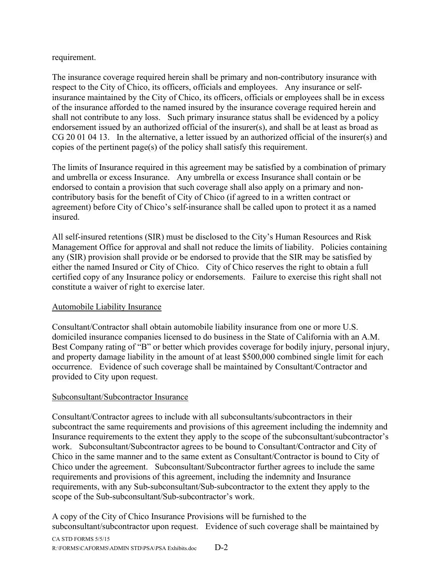requirement.

The insurance coverage required herein shall be primary and non-contributory insurance with respect to the City of Chico, its officers, officials and employees. Any insurance or selfinsurance maintained by the City of Chico, its officers, officials or employees shall be in excess of the insurance afforded to the named insured by the insurance coverage required herein and shall not contribute to any loss. Such primary insurance status shall be evidenced by a policy endorsement issued by an authorized official of the insurer(s), and shall be at least as broad as CG 20 01 04 13. In the alternative, a letter issued by an authorized official of the insurer(s) and copies of the pertinent page(s) of the policy shall satisfy this requirement.

The limits of Insurance required in this agreement may be satisfied by a combination of primary and umbrella or excess Insurance. Any umbrella or excess Insurance shall contain or be endorsed to contain a provision that such coverage shall also apply on a primary and noncontributory basis for the benefit of City of Chico (if agreed to in a written contract or agreement) before City of Chico's self-insurance shall be called upon to protect it as a named insured.

All self-insured retentions (SIR) must be disclosed to the City's Human Resources and Risk Management Office for approval and shall not reduce the limits of liability. Policies containing any (SIR) provision shall provide or be endorsed to provide that the SIR may be satisfied by either the named Insured or City of Chico. City of Chico reserves the right to obtain a full certified copy of any Insurance policy or endorsements. Failure to exercise this right shall not constitute a waiver of right to exercise later.

# Automobile Liability Insurance

Consultant/Contractor shall obtain automobile liability insurance from one or more U.S. domiciled insurance companies licensed to do business in the State of California with an A.M. Best Company rating of "B" or better which provides coverage for bodily injury, personal injury, and property damage liability in the amount of at least \$500,000 combined single limit for each occurrence. Evidence of such coverage shall be maintained by Consultant/Contractor and provided to City upon request.

# Subconsultant/Subcontractor Insurance

Consultant/Contractor agrees to include with all subconsultants/subcontractors in their subcontract the same requirements and provisions of this agreement including the indemnity and Insurance requirements to the extent they apply to the scope of the subconsultant/subcontractor's work. Subconsultant/Subcontractor agrees to be bound to Consultant/Contractor and City of Chico in the same manner and to the same extent as Consultant/Contractor is bound to City of Chico under the agreement. Subconsultant/Subcontractor further agrees to include the same requirements and provisions of this agreement, including the indemnity and Insurance requirements, with any Sub-subconsultant/Sub-subcontractor to the extent they apply to the scope of the Sub-subconsultant/Sub-subcontractor's work.

CA STD FORMS 5/5/15 R:\FORMS\CAFORMS\ADMIN STD\PSA\PSA Exhibits.doc D-2 A copy of the City of Chico Insurance Provisions will be furnished to the subconsultant/subcontractor upon request. Evidence of such coverage shall be maintained by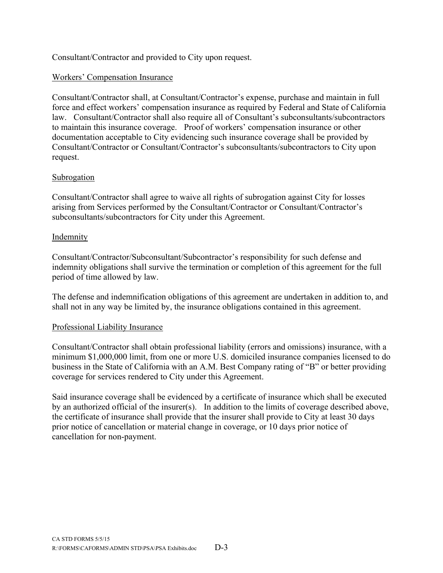Consultant/Contractor and provided to City upon request.

### Workers' Compensation Insurance

Consultant/Contractor shall, at Consultant/Contractor's expense, purchase and maintain in full force and effect workers' compensation insurance as required by Federal and State of California law. Consultant/Contractor shall also require all of Consultant's subconsultants/subcontractors to maintain this insurance coverage. Proof of workers' compensation insurance or other documentation acceptable to City evidencing such insurance coverage shall be provided by Consultant/Contractor or Consultant/Contractor's subconsultants/subcontractors to City upon request.

#### Subrogation

Consultant/Contractor shall agree to waive all rights of subrogation against City for losses arising from Services performed by the Consultant/Contractor or Consultant/Contractor's subconsultants/subcontractors for City under this Agreement.

#### Indemnity

Consultant/Contractor/Subconsultant/Subcontractor's responsibility for such defense and indemnity obligations shall survive the termination or completion of this agreement for the full period of time allowed by law.

The defense and indemnification obligations of this agreement are undertaken in addition to, and shall not in any way be limited by, the insurance obligations contained in this agreement.

#### Professional Liability Insurance

Consultant/Contractor shall obtain professional liability (errors and omissions) insurance, with a minimum \$1,000,000 limit, from one or more U.S. domiciled insurance companies licensed to do business in the State of California with an A.M. Best Company rating of "B" or better providing coverage for services rendered to City under this Agreement.

Said insurance coverage shall be evidenced by a certificate of insurance which shall be executed by an authorized official of the insurer(s). In addition to the limits of coverage described above, the certificate of insurance shall provide that the insurer shall provide to City at least 30 days prior notice of cancellation or material change in coverage, or 10 days prior notice of cancellation for non-payment.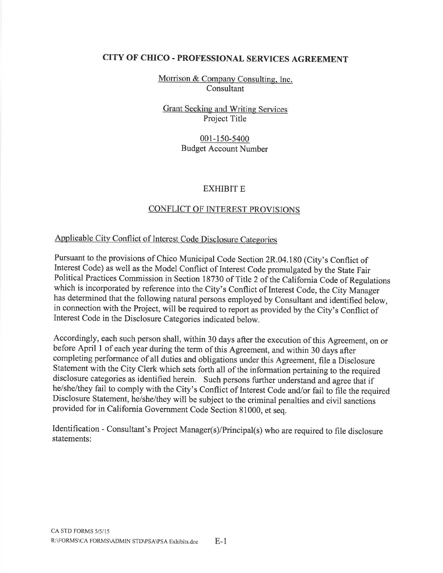Morrison & Company Consulting, Inc. Consultant

Grant Seeking and Writing Services Project Title

#### 001-150-5400 **Budget Account Number**

#### **EXHIBIT E**

# CONFLICT OF INTEREST PROVISIONS

# Applicable City Conflict of Interest Code Disclosure Categories

Pursuant to the provisions of Chico Municipal Code Section 2R.04.180 (City's Conflict of Interest Code) as well as the Model Conflict of Interest Code promulgated by the State Fair Political Practices Commission in Section 18730 of Title 2 of the California Code of Regulations which is incorporated by reference into the City's Conflict of Interest Code, the City Manager has determined that the following natural persons employed by Consultant and identified below, in connection with the Project, will be required to report as provided by the City's Conflict of Interest Code in the Disclosure Categories indicated below.

Accordingly, each such person shall, within 30 days after the execution of this Agreement, on or before April 1 of each year during the term of this Agreement, and within 30 days after completing performance of all duties and obligations under this Agreement, file a Disclosure Statement with the City Clerk which sets forth all of the information pertaining to the required disclosure categories as identified herein. Such persons further understand and agree that if he/she/they fail to comply with the City's Conflict of Interest Code and/or fail to file the required Disclosure Statement, he/she/they will be subject to the criminal penalties and civil sanctions provided for in California Government Code Section 81000, et seq.

Identification - Consultant's Project Manager(s)/Principal(s) who are required to file disclosure statements: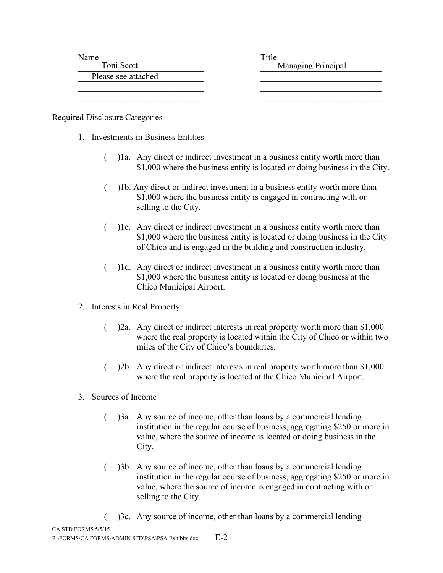Name Title

Please see attached **Exercise 2020** 

Toni Scott and Toni Scott and Toni Scott and Toni Scott and Toni Scott and Toni Scott and Toni Scott and Toni Scott and Toni Scott and Toni Scott and Toni Scott and Toni Scott and Toni Scott and Toni Scott and Toni Scott a

Required Disclosure Categories

- 1. Investments in Business Entities
	- ( )1a. Any direct or indirect investment in a business entity worth more than \$1,000 where the business entity is located or doing business in the City.

 $\overline{\phantom{a}}$  , and the contribution of the contribution of  $\overline{\phantom{a}}$  , and  $\overline{\phantom{a}}$  , and  $\overline{\phantom{a}}$  , and  $\overline{\phantom{a}}$  $\overline{\phantom{a}}$  , and the contribution of the contribution of  $\overline{\phantom{a}}$  , and  $\overline{\phantom{a}}$  , and  $\overline{\phantom{a}}$  , and  $\overline{\phantom{a}}$ 

- ( )1b. Any direct or indirect investment in a business entity worth more than \$1,000 where the business entity is engaged in contracting with or selling to the City.
- ( )1c. Any direct or indirect investment in a business entity worth more than \$1,000 where the business entity is located or doing business in the City of Chico and is engaged in the building and construction industry.
- ( )1d. Any direct or indirect investment in a business entity worth more than \$1,000 where the business entity is located or doing business at the Chico Municipal Airport.
- 2. Interests in Real Property
	- ( )2a. Any direct or indirect interests in real property worth more than \$1,000 where the real property is located within the City of Chico or within two miles of the City of Chico's boundaries.
	- ( )2b. Any direct or indirect interests in real property worth more than \$1,000 where the real property is located at the Chico Municipal Airport.
- 3. Sources of Income
	- ( )3a. Any source of income, other than loans by a commercial lending institution in the regular course of business, aggregating \$250 or more in value, where the source of income is located or doing business in the City.
	- ( )3b. Any source of income, other than loans by a commercial lending institution in the regular course of business, aggregating \$250 or more in value, where the source of income is engaged in contracting with or selling to the City.
- CA STD FORMS 5/5/15 ( )3c. Any source of income, other than loans by a commercial lending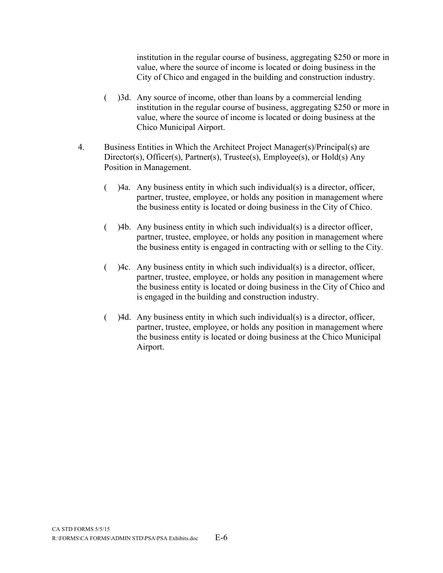institution in the regular course of business, aggregating \$250 or more in value, where the source of income is located or doing business in the City of Chico and engaged in the building and construction industry.

- ( )3d. Any source of income, other than loans by a commercial lending institution in the regular course of business, aggregating \$250 or more in value, where the source of income is located or doing business at the Chico Municipal Airport.
- 4. Business Entities in Which the Architect Project Manager(s)/Principal(s) are Director(s), Officer(s), Partner(s), Trustee(s), Employee(s), or Hold(s) Any Position in Management.
	- ( )4a. Any business entity in which such individual(s) is a director, officer, partner, trustee, employee, or holds any position in management where the business entity is located or doing business in the City of Chico.
	- ( )4b. Any business entity in which such individual(s) is a director officer, partner, trustee, employee, or holds any position in management where the business entity is engaged in contracting with or selling to the City.
	- $($ ) 4c. Any business entity in which such individual(s) is a director, officer, partner, trustee, employee, or holds any position in management where the business entity is located or doing business in the City of Chico and is engaged in the building and construction industry.
	- ( )4d. Any business entity in which such individual(s) is a director, officer, partner, trustee, employee, or holds any position in management where the business entity is located or doing business at the Chico Municipal Airport.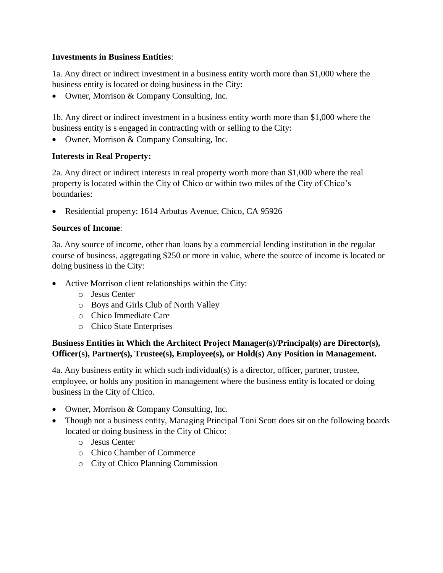### **Investments in Business Entities**:

1a. Any direct or indirect investment in a business entity worth more than \$1,000 where the business entity is located or doing business in the City:

• Owner, Morrison & Company Consulting, Inc.

1b. Any direct or indirect investment in a business entity worth more than \$1,000 where the business entity is s engaged in contracting with or selling to the City:

Owner, Morrison & Company Consulting, Inc.

### **Interests in Real Property:**

2a. Any direct or indirect interests in real property worth more than \$1,000 where the real property is located within the City of Chico or within two miles of the City of Chico's boundaries:

Residential property: 1614 Arbutus Avenue, Chico, CA 95926

### **Sources of Income**:

3a. Any source of income, other than loans by a commercial lending institution in the regular course of business, aggregating \$250 or more in value, where the source of income is located or doing business in the City:

- Active Morrison client relationships within the City:
	- o Jesus Center
	- o Boys and Girls Club of North Valley
	- o Chico Immediate Care
	- o Chico State Enterprises

# **Business Entities in Which the Architect Project Manager(s)/Principal(s) are Director(s), Officer(s), Partner(s), Trustee(s), Employee(s), or Hold(s) Any Position in Management.**

4a. Any business entity in which such individual(s) is a director, officer, partner, trustee, employee, or holds any position in management where the business entity is located or doing business in the City of Chico.

- Owner, Morrison & Company Consulting, Inc.
- Though not a business entity, Managing Principal Toni Scott does sit on the following boards located or doing business in the City of Chico:
	- o Jesus Center
	- o Chico Chamber of Commerce
	- o City of Chico Planning Commission